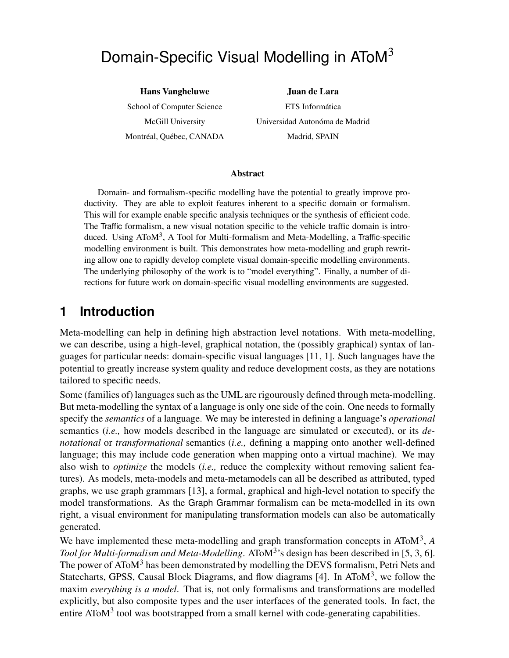# Domain-Specific Visual Modelling in AToM<sup>3</sup>

**Hans Vangheluwe** School of Computer Science McGill University Montréal, Québec, CANADA

**Juan de Lara** ETS Informática Universidad Autonóma de Madrid Madrid, SPAIN

#### **Abstract**

Domain- and formalism-specific modelling have the potential to greatly improve productivity. They are able to exploit features inherent to a specific domain or formalism. This will for example enable specific analysis techniques or the synthesis of efficient code. The Traffic formalism, a new visual notation specific to the vehicle traffic domain is introduced. Using AToM<sup>3</sup>, A Tool for Multi-formalism and Meta-Modelling, a Traffic-specific modelling environment is built. This demonstrates how meta-modelling and graph rewriting allow one to rapidly develop complete visual domain-specific modelling environments. The underlying philosophy of the work is to "model everything". Finally, a number of directions for future work on domain-specific visual modelling environments are suggested.

#### **1 Introduction**

Meta-modelling can help in defining high abstraction level notations. With meta-modelling, we can describe, using a high-level, graphical notation, the (possibly graphical) syntax of languages for particular needs: domain-specific visual languages [11, 1]. Such languages have the potential to greatly increase system quality and reduce development costs, as they are notations tailored to specific needs.

Some (families of) languages such as the UML are rigourously defined through meta-modelling. But meta-modelling the syntax of a language is only one side of the coin. One needs to formally specify the *semantics* of a language. We may be interested in defining a language's *operational* semantics (*i.e.,* how models described in the language are simulated or executed), or its *denotational* or *transformational* semantics (*i.e.,* defining a mapping onto another well-defined language; this may include code generation when mapping onto a virtual machine). We may also wish to *optimize* the models (*i.e.,* reduce the complexity without removing salient features). As models, meta-models and meta-metamodels can all be described as attributed, typed graphs, we use graph grammars [13], a formal, graphical and high-level notation to specify the model transformations. As the Graph Grammar formalism can be meta-modelled in its own right, a visual environment for manipulating transformation models can also be automatically generated.

We have implemented these meta-modelling and graph transformation concepts in AToM<sup>3</sup>, A *Tool for Multi-formalism and Meta-Modelling*. AToM<sup>3</sup> 's design has been described in [5, 3, 6]. The power of AToM<sup>3</sup> has been demonstrated by modelling the DEVS formalism, Petri Nets and Statecharts, GPSS, Causal Block Diagrams, and flow diagrams [4]. In ATo $M<sup>3</sup>$ , we follow the maxim *everything is a model*. That is, not only formalisms and transformations are modelled explicitly, but also composite types and the user interfaces of the generated tools. In fact, the entire AToM $3$  tool was bootstrapped from a small kernel with code-generating capabilities.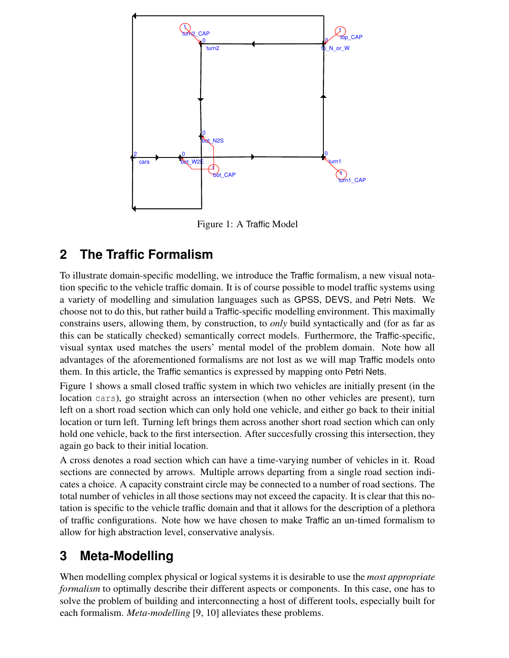

Figure 1: A Traffic Model

## **2 The Traffic Formalism**

To illustrate domain-specific modelling, we introduce the Traffic formalism, a new visual notation specific to the vehicle traffic domain. It is of course possible to model traffic systems using a variety of modelling and simulation languages such as GPSS, DEVS, and Petri Nets. We choose not to do this, but rather build a Traffic-specific modelling environment. This maximally constrains users, allowing them, by construction, to *only* build syntactically and (for as far as this can be statically checked) semantically correct models. Furthermore, the Traffic-specific, visual syntax used matches the users' mental model of the problem domain. Note how all advantages of the aforementioned formalisms are not lost as we will map Traffic models onto them. In this article, the Traffic semantics is expressed by mapping onto Petri Nets.

Figure 1 shows a small closed traffic system in which two vehicles are initially present (in the location cars), go straight across an intersection (when no other vehicles are present), turn left on a short road section which can only hold one vehicle, and either go back to their initial location or turn left. Turning left brings them across another short road section which can only hold one vehicle, back to the first intersection. After succesfully crossing this intersection, they again go back to their initial location.

A cross denotes a road section which can have a time-varying number of vehicles in it. Road sections are connected by arrows. Multiple arrows departing from a single road section indicates a choice. A capacity constraint circle may be connected to a number of road sections. The total number of vehicles in all those sections may not exceed the capacity. It is clear that this notation is specific to the vehicle traffic domain and that it allows for the description of a plethora of traffic configurations. Note how we have chosen to make Traffic an un-timed formalism to allow for high abstraction level, conservative analysis.

## **3 Meta-Modelling**

When modelling complex physical or logical systems it is desirable to use the *most appropriate formalism* to optimally describe their different aspects or components. In this case, one has to solve the problem of building and interconnecting a host of different tools, especially built for each formalism. *Meta-modelling* [9, 10] alleviates these problems.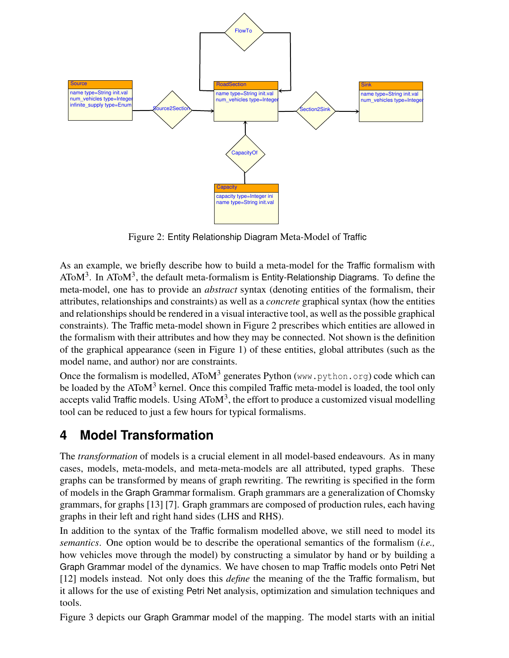

Figure 2: Entity Relationship Diagram Meta-Model of Traffic

As an example, we briefly describe how to build a meta-model for the Traffic formalism with  $AToM<sup>3</sup>$ . In AToM<sup>3</sup>, the default meta-formalism is Entity-Relationship Diagrams. To define the meta-model, one has to provide an *abstract* syntax (denoting entities of the formalism, their attributes, relationships and constraints) as well as a *concrete* graphical syntax (how the entities and relationships should be rendered in a visual interactive tool, as well as the possible graphical constraints). The Traffic meta-model shown in Figure 2 prescribes which entities are allowed in the formalism with their attributes and how they may be connected. Not shown is the definition of the graphical appearance (seen in Figure 1) of these entities, global attributes (such as the model name, and author) nor are constraints.

Once the formalism is modelled,  $A$ ToM<sup>3</sup> generates Python (www.python.org) code which can be loaded by the AToM<sup>3</sup> kernel. Once this compiled Traffic meta-model is loaded, the tool only accepts valid Traffic models. Using AToM<sup>3</sup>, the effort to produce a customized visual modelling tool can be reduced to just a few hours for typical formalisms.

## **4 Model Transformation**

The *transformation* of models is a crucial element in all model-based endeavours. As in many cases, models, meta-models, and meta-meta-models are all attributed, typed graphs. These graphs can be transformed by means of graph rewriting. The rewriting is specified in the form of models in the Graph Grammar formalism. Graph grammars are a generalization of Chomsky grammars, for graphs [13] [7]. Graph grammars are composed of production rules, each having graphs in their left and right hand sides (LHS and RHS).

In addition to the syntax of the Traffic formalism modelled above, we still need to model its *semantics*. One option would be to describe the operational semantics of the formalism (*i.e.,* how vehicles move through the model) by constructing a simulator by hand or by building a Graph Grammar model of the dynamics. We have chosen to map Traffic models onto Petri Net [12] models instead. Not only does this *define* the meaning of the the Traffic formalism, but it allows for the use of existing Petri Net analysis, optimization and simulation techniques and tools.

Figure 3 depicts our Graph Grammar model of the mapping. The model starts with an initial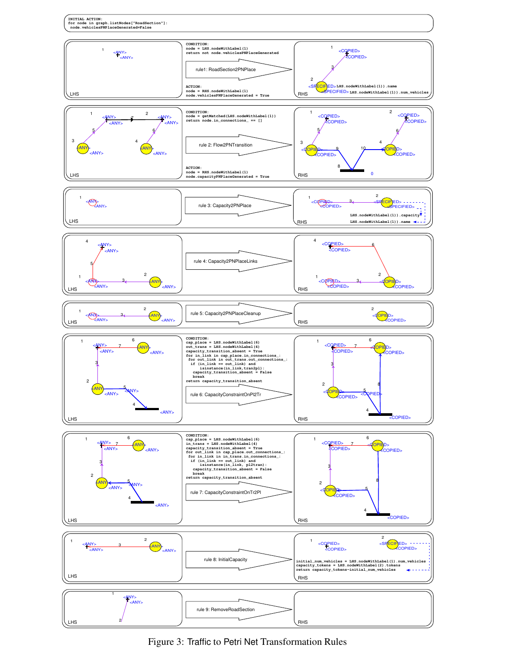

Figure 3: Traffic to Petri Net Transformation Rules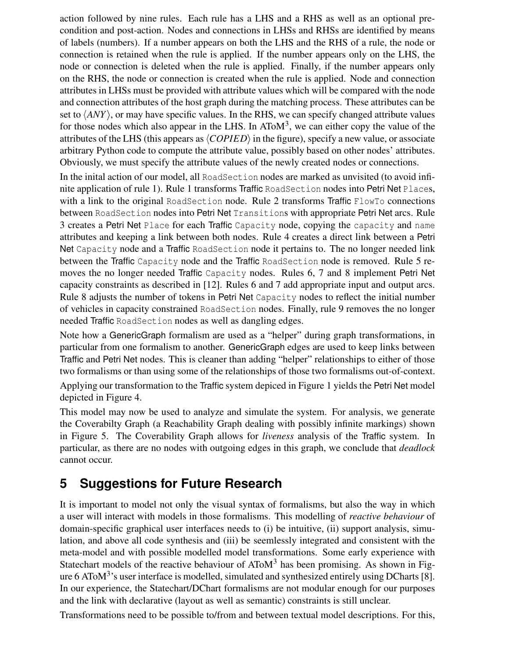action followed by nine rules. Each rule has a LHS and a RHS as well as an optional precondition and post-action. Nodes and connections in LHSs and RHSs are identified by means of labels (numbers). If a number appears on both the LHS and the RHS of a rule, the node or connection is retained when the rule is applied. If the number appears only on the LHS, the node or connection is deleted when the rule is applied. Finally, if the number appears only on the RHS, the node or connection is created when the rule is applied. Node and connection attributes in LHSs must be provided with attribute values which will be compared with the node and connection attributes of the host graph during the matching process. These attributes can be set to  $\langle ANY \rangle$ , or may have specific values. In the RHS, we can specify changed attribute values for those nodes which also appear in the LHS. In ATo $M<sup>3</sup>$ , we can either copy the value of the attributes of the LHS (this appears as  $\langle COPIED \rangle$  in the figure), specify a new value, or associate arbitrary Python code to compute the attribute value, possibly based on other nodes' attributes. Obviously, we must specify the attribute values of the newly created nodes or connections.

In the inital action of our model, all RoadSection nodes are marked as unvisited (to avoid infinite application of rule 1). Rule 1 transforms Traffic RoadSection nodes into Petri Net Places, with a link to the original RoadSection node. Rule 2 transforms Traffic FlowTo connections between RoadSection nodes into Petri Net Transitions with appropriate Petri Net arcs. Rule 3 creates a Petri Net Place for each Traffic Capacity node, copying the capacity and name attributes and keeping a link between both nodes. Rule 4 creates a direct link between a Petri Net Capacity node and a Traffic RoadSection node it pertains to. The no longer needed link between the Traffic Capacity node and the Traffic RoadSection node is removed. Rule 5 removes the no longer needed Traffic Capacity nodes. Rules 6, 7 and 8 implement Petri Net capacity constraints as described in [12]. Rules 6 and 7 add appropriate input and output arcs. Rule 8 adjusts the number of tokens in Petri Net Capacity nodes to reflect the initial number of vehicles in capacity constrained RoadSection nodes. Finally, rule 9 removes the no longer needed Traffic RoadSection nodes as well as dangling edges.

Note how a GenericGraph formalism are used as a "helper" during graph transformations, in particular from one formalism to another. GenericGraph edges are used to keep links between Traffic and Petri Net nodes. This is cleaner than adding "helper" relationships to either of those two formalisms or than using some of the relationships of those two formalisms out-of-context.

Applying our transformation to the Traffic system depiced in Figure 1 yields the Petri Net model depicted in Figure 4.

This model may now be used to analyze and simulate the system. For analysis, we generate the Coverabilty Graph (a Reachability Graph dealing with possibly infinite markings) shown in Figure 5. The Coverability Graph allows for *liveness* analysis of the Traffic system. In particular, as there are no nodes with outgoing edges in this graph, we conclude that *deadlock* cannot occur.

#### **5 Suggestions for Future Research**

It is important to model not only the visual syntax of formalisms, but also the way in which a user will interact with models in those formalisms. This modelling of *reactive behaviour* of domain-specific graphical user interfaces needs to (i) be intuitive, (ii) support analysis, simulation, and above all code synthesis and (iii) be seemlessly integrated and consistent with the meta-model and with possible modelled model transformations. Some early experience with Statechart models of the reactive behaviour of  $A$ To $M<sup>3</sup>$  has been promising. As shown in Figure 6 AToM<sup>3</sup>'s user interface is modelled, simulated and synthesized entirely using DCharts [8]. In our experience, the Statechart/DChart formalisms are not modular enough for our purposes and the link with declarative (layout as well as semantic) constraints is still unclear.

Transformations need to be possible to/from and between textual model descriptions. For this,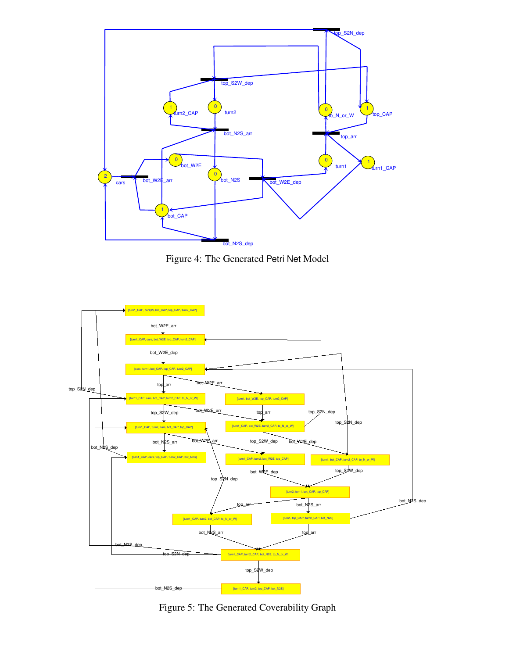

Figure 4: The Generated Petri Net Model



Figure 5: The Generated Coverability Graph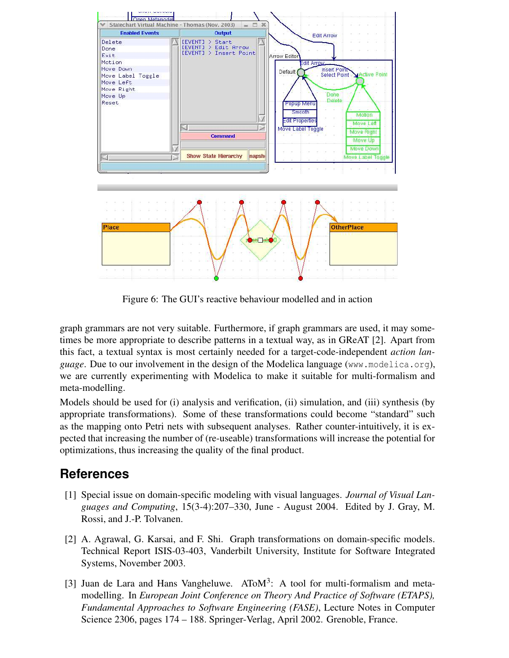

Figure 6: The GUI's reactive behaviour modelled and in action

graph grammars are not very suitable. Furthermore, if graph grammars are used, it may sometimes be more appropriate to describe patterns in a textual way, as in GReAT [2]. Apart from this fact, a textual syntax is most certainly needed for a target-code-independent *action language*. Due to our involvement in the design of the Modelica language (www.modelica.org), we are currently experimenting with Modelica to make it suitable for multi-formalism and meta-modelling.

Models should be used for (i) analysis and verification, (ii) simulation, and (iii) synthesis (by appropriate transformations). Some of these transformations could become "standard" such as the mapping onto Petri nets with subsequent analyses. Rather counter-intuitively, it is expected that increasing the number of (re-useable) transformations will increase the potential for optimizations, thus increasing the quality of the final product.

#### **References**

- [1] Special issue on domain-specific modeling with visual languages. *Journal of Visual Languages and Computing*, 15(3-4):207–330, June - August 2004. Edited by J. Gray, M. Rossi, and J.-P. Tolvanen.
- [2] A. Agrawal, G. Karsai, and F. Shi. Graph transformations on domain-specific models. Technical Report ISIS-03-403, Vanderbilt University, Institute for Software Integrated Systems, November 2003.
- [3] Juan de Lara and Hans Vangheluwe.  $A\text{ToM}^3$ : A tool for multi-formalism and metamodelling. In *European Joint Conference on Theory And Practice of Software (ETAPS), Fundamental Approaches to Software Engineering (FASE)*, Lecture Notes in Computer Science 2306, pages 174 – 188. Springer-Verlag, April 2002. Grenoble, France.